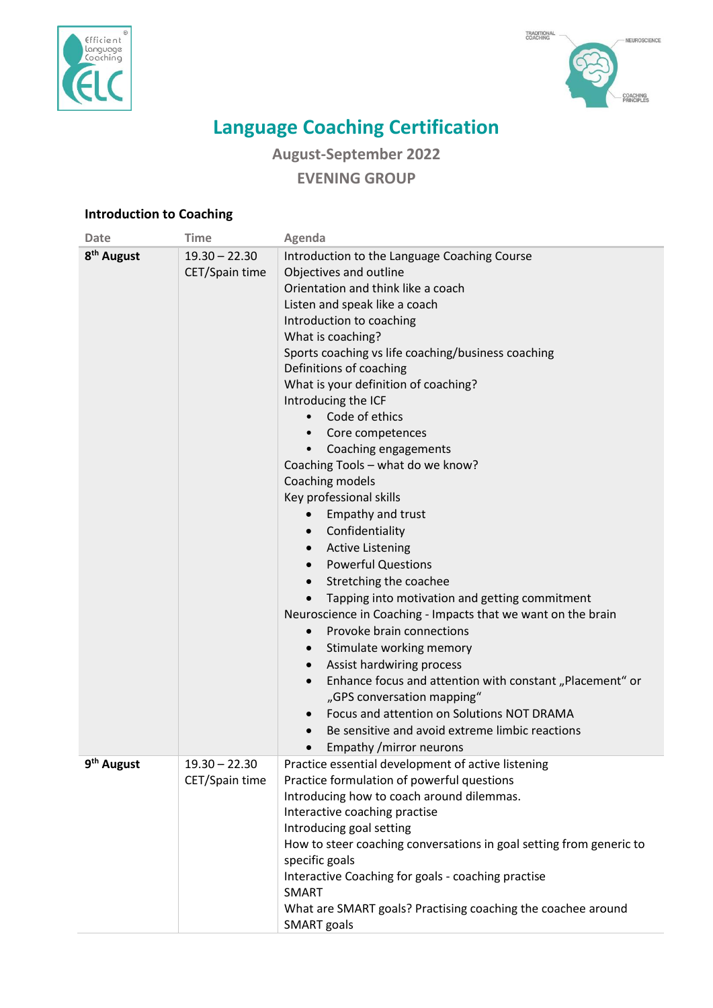



## **Language Coaching Certification**

**August-September 2022 EVENING GROUP**

## **Introduction to Coaching**

| <b>Date</b>            | <b>Time</b>                       | Agenda                                                                                                                                                                                                                                                                                                                                                                                                                                                                                                                                                                                                                                                                                                                                                                                                                                                                                                                                                                                                                                                                                                                                                                                                  |
|------------------------|-----------------------------------|---------------------------------------------------------------------------------------------------------------------------------------------------------------------------------------------------------------------------------------------------------------------------------------------------------------------------------------------------------------------------------------------------------------------------------------------------------------------------------------------------------------------------------------------------------------------------------------------------------------------------------------------------------------------------------------------------------------------------------------------------------------------------------------------------------------------------------------------------------------------------------------------------------------------------------------------------------------------------------------------------------------------------------------------------------------------------------------------------------------------------------------------------------------------------------------------------------|
| 8 <sup>th</sup> August | $19.30 - 22.30$<br>CET/Spain time | Introduction to the Language Coaching Course<br>Objectives and outline<br>Orientation and think like a coach<br>Listen and speak like a coach<br>Introduction to coaching<br>What is coaching?<br>Sports coaching vs life coaching/business coaching<br>Definitions of coaching<br>What is your definition of coaching?<br>Introducing the ICF<br>Code of ethics<br>$\bullet$<br>Core competences<br>$\bullet$<br>Coaching engagements<br>Coaching Tools - what do we know?<br>Coaching models<br>Key professional skills<br>Empathy and trust<br>Confidentiality<br>$\bullet$<br><b>Active Listening</b><br>$\bullet$<br><b>Powerful Questions</b><br>$\bullet$<br>Stretching the coachee<br>$\bullet$<br>Tapping into motivation and getting commitment<br>Neuroscience in Coaching - Impacts that we want on the brain<br>Provoke brain connections<br>$\bullet$<br>Stimulate working memory<br>$\bullet$<br>Assist hardwiring process<br>$\bullet$<br>Enhance focus and attention with constant "Placement" or<br>$\bullet$<br>"GPS conversation mapping"<br>Focus and attention on Solutions NOT DRAMA<br>$\bullet$<br>Be sensitive and avoid extreme limbic reactions<br>Empathy / mirror neurons |
| 9 <sup>th</sup> August | $19.30 - 22.30$<br>CET/Spain time | Practice essential development of active listening<br>Practice formulation of powerful questions<br>Introducing how to coach around dilemmas.<br>Interactive coaching practise<br>Introducing goal setting<br>How to steer coaching conversations in goal setting from generic to<br>specific goals<br>Interactive Coaching for goals - coaching practise<br><b>SMART</b><br>What are SMART goals? Practising coaching the coachee around<br><b>SMART</b> goals                                                                                                                                                                                                                                                                                                                                                                                                                                                                                                                                                                                                                                                                                                                                         |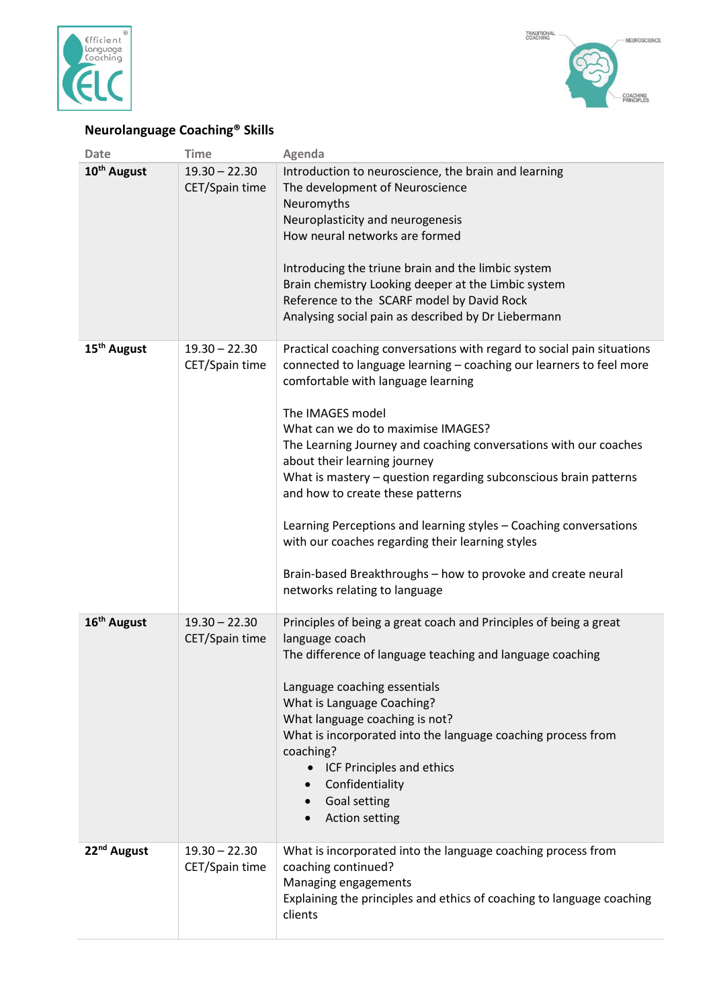



## **Neurolanguage Coaching® Skills**

| <b>Date</b>             | <b>Time</b>                       | Agenda                                                                                                                                                                                                                                                                                                                                                                                                                                                                                                                                                                                                                                                                              |
|-------------------------|-----------------------------------|-------------------------------------------------------------------------------------------------------------------------------------------------------------------------------------------------------------------------------------------------------------------------------------------------------------------------------------------------------------------------------------------------------------------------------------------------------------------------------------------------------------------------------------------------------------------------------------------------------------------------------------------------------------------------------------|
| 10 <sup>th</sup> August | $19.30 - 22.30$<br>CET/Spain time | Introduction to neuroscience, the brain and learning<br>The development of Neuroscience<br>Neuromyths<br>Neuroplasticity and neurogenesis<br>How neural networks are formed<br>Introducing the triune brain and the limbic system<br>Brain chemistry Looking deeper at the Limbic system<br>Reference to the SCARF model by David Rock<br>Analysing social pain as described by Dr Liebermann                                                                                                                                                                                                                                                                                       |
| 15 <sup>th</sup> August | $19.30 - 22.30$<br>CET/Spain time | Practical coaching conversations with regard to social pain situations<br>connected to language learning - coaching our learners to feel more<br>comfortable with language learning<br>The IMAGES model<br>What can we do to maximise IMAGES?<br>The Learning Journey and coaching conversations with our coaches<br>about their learning journey<br>What is mastery - question regarding subconscious brain patterns<br>and how to create these patterns<br>Learning Perceptions and learning styles - Coaching conversations<br>with our coaches regarding their learning styles<br>Brain-based Breakthroughs - how to provoke and create neural<br>networks relating to language |
| 16 <sup>th</sup> August | $19.30 - 22.30$<br>CET/Spain time | Principles of being a great coach and Principles of being a great<br>language coach<br>The difference of language teaching and language coaching<br>Language coaching essentials<br>What is Language Coaching?<br>What language coaching is not?<br>What is incorporated into the language coaching process from<br>coaching?<br>• ICF Principles and ethics<br>Confidentiality<br>Goal setting<br>Action setting                                                                                                                                                                                                                                                                   |
| 22 <sup>nd</sup> August | $19.30 - 22.30$<br>CET/Spain time | What is incorporated into the language coaching process from<br>coaching continued?<br>Managing engagements<br>Explaining the principles and ethics of coaching to language coaching<br>clients                                                                                                                                                                                                                                                                                                                                                                                                                                                                                     |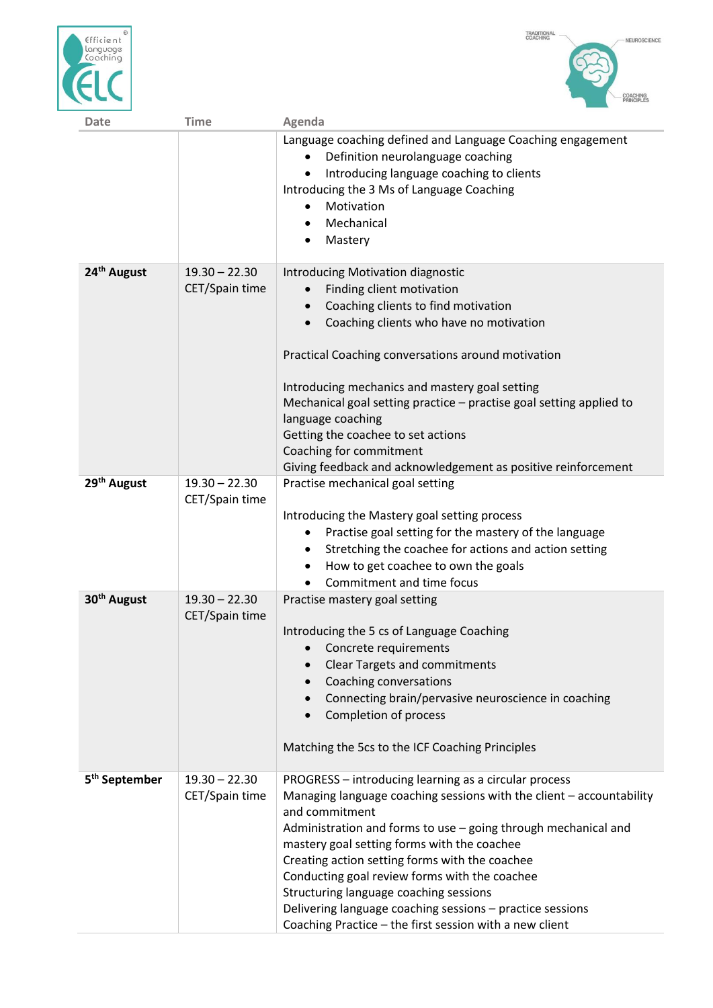



| <b>Date</b>               | <b>Time</b>                       | Agenda                                                                                                                                                                                                                                                                                                                                                                                                                                                                                                                                |
|---------------------------|-----------------------------------|---------------------------------------------------------------------------------------------------------------------------------------------------------------------------------------------------------------------------------------------------------------------------------------------------------------------------------------------------------------------------------------------------------------------------------------------------------------------------------------------------------------------------------------|
|                           |                                   | Language coaching defined and Language Coaching engagement<br>Definition neurolanguage coaching<br>Introducing language coaching to clients<br>Introducing the 3 Ms of Language Coaching<br>Motivation<br>Mechanical<br>Mastery<br>٠                                                                                                                                                                                                                                                                                                  |
| 24 <sup>th</sup> August   | $19.30 - 22.30$<br>CET/Spain time | Introducing Motivation diagnostic<br>Finding client motivation<br>$\bullet$<br>Coaching clients to find motivation<br>$\bullet$<br>Coaching clients who have no motivation<br>Practical Coaching conversations around motivation<br>Introducing mechanics and mastery goal setting<br>Mechanical goal setting practice - practise goal setting applied to<br>language coaching<br>Getting the coachee to set actions<br>Coaching for commitment<br>Giving feedback and acknowledgement as positive reinforcement                      |
| 29 <sup>th</sup> August   | $19.30 - 22.30$<br>CET/Spain time | Practise mechanical goal setting<br>Introducing the Mastery goal setting process<br>Practise goal setting for the mastery of the language<br>Stretching the coachee for actions and action setting<br>٠<br>How to get coachee to own the goals<br>٠<br>Commitment and time focus                                                                                                                                                                                                                                                      |
| 30 <sup>th</sup> August   | $19.30 - 22.30$<br>CET/Spain time | Practise mastery goal setting<br>Introducing the 5 cs of Language Coaching<br>• Concrete requirements<br><b>Clear Targets and commitments</b><br>$\bullet$<br>Coaching conversations<br>Connecting brain/pervasive neuroscience in coaching<br>$\bullet$<br>Completion of process<br>$\bullet$<br>Matching the 5cs to the ICF Coaching Principles                                                                                                                                                                                     |
| 5 <sup>th</sup> September | $19.30 - 22.30$<br>CET/Spain time | PROGRESS - introducing learning as a circular process<br>Managing language coaching sessions with the client - accountability<br>and commitment<br>Administration and forms to use - going through mechanical and<br>mastery goal setting forms with the coachee<br>Creating action setting forms with the coachee<br>Conducting goal review forms with the coachee<br>Structuring language coaching sessions<br>Delivering language coaching sessions - practice sessions<br>Coaching Practice - the first session with a new client |